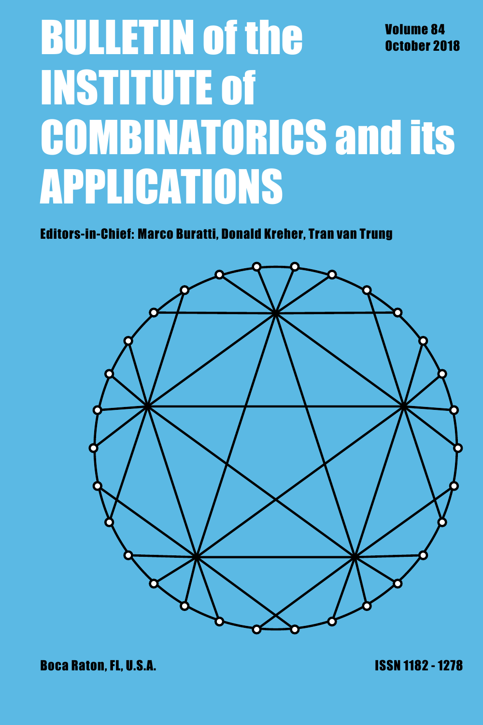# **BULLETIN of the Volume 84** October 20 October 2018 INSTITUTE of COMBINATORICS and its APPLICATIONS

Editors-in-Chief: Marco Buratti, Donald Kreher, Tran van Trung

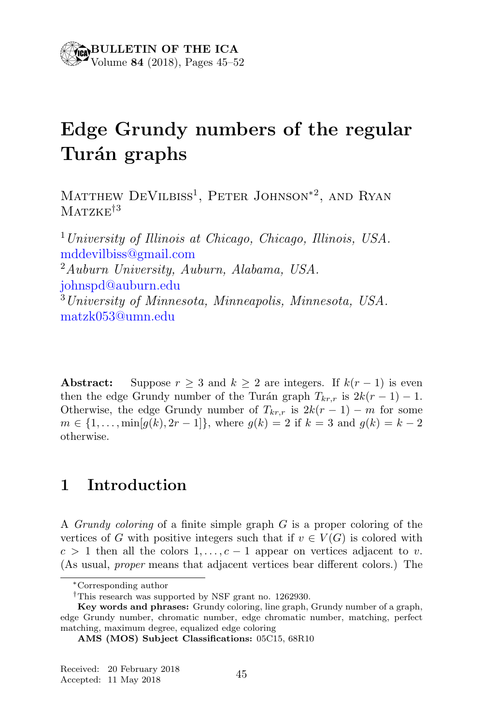## Edge Grundy numbers of the regular Turán graphs

MATTHEW DEVILBISS<sup>1</sup>, PETER JOHNSON<sup>\*2</sup>, AND RYAN  $MATZKF^{\dagger 3}$ 

 $1$  University of Illinois at Chicago, Chicago, Illinois, USA. mddevilbiss@gmail.com <sup>2</sup>Auburn University, Auburn, Alabama, USA. johnspd@auburn.edu <sup>3</sup>University of Minnesota, Minneapolis, Minnesota, USA. matzk053@umn.edu

**Abstract:** Suppose  $r \geq 3$  and  $k \geq 2$  are integers. If  $k(r-1)$  is even then the edge Grundy number of the Turán graph  $T_{kr,r}$  is  $2k(r-1) - 1$ . Otherwise, the edge Grundy number of  $T_{kr,r}$  is  $2k(r-1) - m$  for some  $m \in \{1, \ldots, \min[q(k), 2r-1]\},\$  where  $q(k) = 2$  if  $k = 3$  and  $q(k) = k-2$ otherwise.

#### 1 Introduction

A *Grundy coloring* of a finite simple graph  $G$  is a proper coloring of the vertices of G with positive integers such that if  $v \in V(G)$  is colored with  $c > 1$  then all the colors  $1, \ldots, c - 1$  appear on vertices adjacent to v. (As usual, proper means that adjacent vertices bear different colors.) The

<sup>∗</sup>Corresponding author

<sup>†</sup>This research was supported by NSF grant no. 1262930.

Key words and phrases: Grundy coloring, line graph, Grundy number of a graph, edge Grundy number, chromatic number, edge chromatic number, matching, perfect matching, maximum degree, equalized edge coloring

AMS (MOS) Subject Classifications: 05C15, 68R10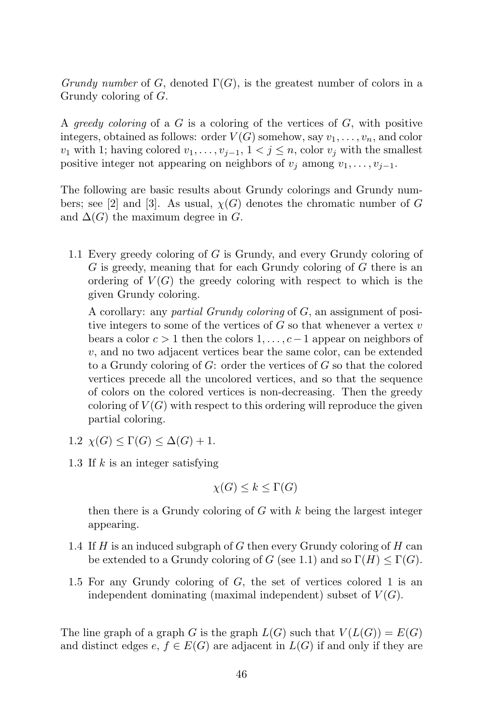Grundy number of G, denoted  $\Gamma(G)$ , is the greatest number of colors in a Grundy coloring of G.

A greedy coloring of a  $G$  is a coloring of the vertices of  $G$ , with positive integers, obtained as follows: order  $V(G)$  somehow, say  $v_1, \ldots, v_n$ , and color  $v_1$  with 1; having colored  $v_1, \ldots, v_{i-1}, 1 \lt j \leq n$ , color  $v_j$  with the smallest positive integer not appearing on neighbors of  $v_j$  among  $v_1, \ldots, v_{j-1}$ .

The following are basic results about Grundy colorings and Grundy numbers; see [2] and [3]. As usual,  $\chi(G)$  denotes the chromatic number of G and  $\Delta(G)$  the maximum degree in G.

1.1 Every greedy coloring of G is Grundy, and every Grundy coloring of G is greedy, meaning that for each Grundy coloring of G there is an ordering of  $V(G)$  the greedy coloring with respect to which is the given Grundy coloring.

A corollary: any partial Grundy coloring of G, an assignment of positive integers to some of the vertices of  $G$  so that whenever a vertex  $v$ bears a color  $c > 1$  then the colors  $1, \ldots, c-1$  appear on neighbors of v, and no two adjacent vertices bear the same color, can be extended to a Grundy coloring of  $G$ : order the vertices of  $G$  so that the colored vertices precede all the uncolored vertices, and so that the sequence of colors on the colored vertices is non-decreasing. Then the greedy coloring of  $V(G)$  with respect to this ordering will reproduce the given partial coloring.

- 1.2  $\chi(G) \leq \Gamma(G) \leq \Delta(G) + 1$ .
- 1.3 If k is an integer satisfying

$$
\chi(G) \le k \le \Gamma(G)
$$

then there is a Grundy coloring of  $G$  with  $k$  being the largest integer appearing.

- 1.4 If  $H$  is an induced subgraph of  $G$  then every Grundy coloring of  $H$  can be extended to a Grundy coloring of G (see 1.1) and so  $\Gamma(H) \leq \Gamma(G)$ .
- 1.5 For any Grundy coloring of G, the set of vertices colored 1 is an independent dominating (maximal independent) subset of  $V(G)$ .

The line graph of a graph G is the graph  $L(G)$  such that  $V(L(G)) = E(G)$ and distinct edges  $e, f \in E(G)$  are adjacent in  $L(G)$  if and only if they are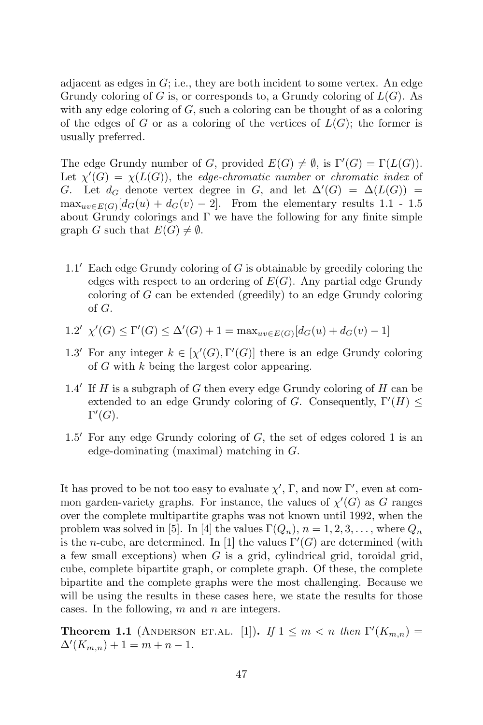adjacent as edges in  $G$ ; i.e., they are both incident to some vertex. An edge Grundy coloring of G is, or corresponds to, a Grundy coloring of  $L(G)$ . As with any edge coloring of  $G$ , such a coloring can be thought of as a coloring of the edges of G or as a coloring of the vertices of  $L(G)$ ; the former is usually preferred.

The edge Grundy number of G, provided  $E(G) \neq \emptyset$ , is  $\Gamma'(G) = \Gamma(L(G))$ . Let  $\chi'(G) = \chi(L(G))$ , the edge-chromatic number or chromatic index of G. Let  $d_G$  denote vertex degree in G, and let  $\Delta'(G) = \Delta(L(G))$  $\max_{uv \in E(G)} [d_G(u) + d_G(v) - 2].$  From the elementary results 1.1 - 1.5 about Grundy colorings and  $\Gamma$  we have the following for any finite simple graph G such that  $E(G) \neq \emptyset$ .

- 1.1' Each edge Grundy coloring of G is obtainable by greedily coloring the edges with respect to an ordering of  $E(G)$ . Any partial edge Grundy coloring of G can be extended (greedily) to an edge Grundy coloring of G.
- 1.2'  $\chi'(G) \leq \Gamma'(G) \leq \Delta'(G) + 1 = \max_{uv \in E(G)}[d_G(u) + d_G(v) 1]$
- 1.3' For any integer  $k \in [\chi'(G), \Gamma'(G)]$  there is an edge Grundy coloring of G with k being the largest color appearing.
- $1.4'$  If H is a subgraph of G then every edge Grundy coloring of H can be extended to an edge Grundy coloring of G. Consequently,  $\Gamma'(H) \leq$  $\Gamma'(G).$
- $1.5'$  For any edge Grundy coloring of G, the set of edges colored 1 is an edge-dominating (maximal) matching in G.

It has proved to be not too easy to evaluate  $\chi'$ ,  $\Gamma$ , and now  $\Gamma'$ , even at common garden-variety graphs. For instance, the values of  $\chi'(G)$  as G ranges over the complete multipartite graphs was not known until 1992, when the problem was solved in [5]. In [4] the values  $\Gamma(Q_n)$ ,  $n = 1, 2, 3, \ldots$ , where  $Q_n$ is the *n*-cube, are determined. In [1] the values  $\Gamma'(G)$  are determined (with a few small exceptions) when  $G$  is a grid, cylindrical grid, toroidal grid, cube, complete bipartite graph, or complete graph. Of these, the complete bipartite and the complete graphs were the most challenging. Because we will be using the results in these cases here, we state the results for those cases. In the following,  $m$  and  $n$  are integers.

**Theorem 1.1** (ANDERSON ET.AL. [1]). If  $1 \leq m < n$  then  $\Gamma'(K_{m,n}) =$  $\Delta'(K_{m,n}) + 1 = m + n - 1.$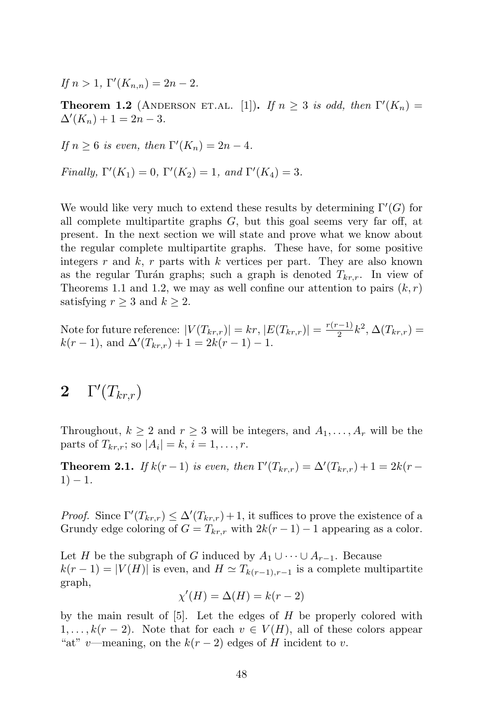If  $n > 1$ ,  $\Gamma'(K_{n,n}) = 2n - 2$ .

**Theorem 1.2** (ANDERSON ET.AL. [1]). If  $n \geq 3$  is odd, then  $\Gamma'(K_n) =$  $\Delta'(K_n) + 1 = 2n - 3.$ 

If 
$$
n \ge 6
$$
 is even, then  $\Gamma'(K_n) = 2n - 4$ .

Finally,  $\Gamma'(K_1) = 0$ ,  $\Gamma'(K_2) = 1$ , and  $\Gamma'(K_4) = 3$ .

We would like very much to extend these results by determining  $\Gamma'(G)$  for all complete multipartite graphs  $G$ , but this goal seems very far off, at present. In the next section we will state and prove what we know about the regular complete multipartite graphs. These have, for some positive integers r and  $k$ , r parts with k vertices per part. They are also known as the regular Turán graphs; such a graph is denoted  $T_{kr,r}$ . In view of Theorems 1.1 and 1.2, we may as well confine our attention to pairs  $(k, r)$ satisfying  $r \geq 3$  and  $k \geq 2$ .

Note for future reference:  $|V(T_{kr,r})| = kr, |E(T_{kr,r})| = \frac{r(r-1)}{2}k^2, \Delta(T_{kr,r}) =$  $k(r-1)$ , and  $\Delta'(T_{kr,r}) + 1 = 2k(r-1) - 1$ .

### $2 \quad \Gamma'(T_{kr,r})$

Throughout,  $k \geq 2$  and  $r \geq 3$  will be integers, and  $A_1, \ldots, A_r$  will be the parts of  $T_{kr,r}$ ; so  $|A_i| = k$ ,  $i = 1, \ldots, r$ .

**Theorem 2.1.** If  $k(r-1)$  is even, then  $\Gamma'(T_{kr,r}) = \Delta'(T_{kr,r}) + 1 = 2k(r-1)$  $1) - 1.$ 

*Proof.* Since  $\Gamma'(T_{kr,r}) \leq \Delta'(T_{kr,r}) + 1$ , it suffices to prove the existence of a Grundy edge coloring of  $G = T_{kr,r}$  with  $2k(r-1) - 1$  appearing as a color.

Let H be the subgraph of G induced by  $A_1 \cup \cdots \cup A_{r-1}$ . Because  $k(r-1) = |V(H)|$  is even, and  $H \simeq T_{k(r-1),r-1}$  is a complete multipartite graph,

$$
\chi'(H) = \Delta(H) = k(r-2)
$$

by the main result of  $[5]$ . Let the edges of H be properly colored with  $1, \ldots, k(r-2)$ . Note that for each  $v \in V(H)$ , all of these colors appear "at" v—meaning, on the  $k(r-2)$  edges of H incident to v.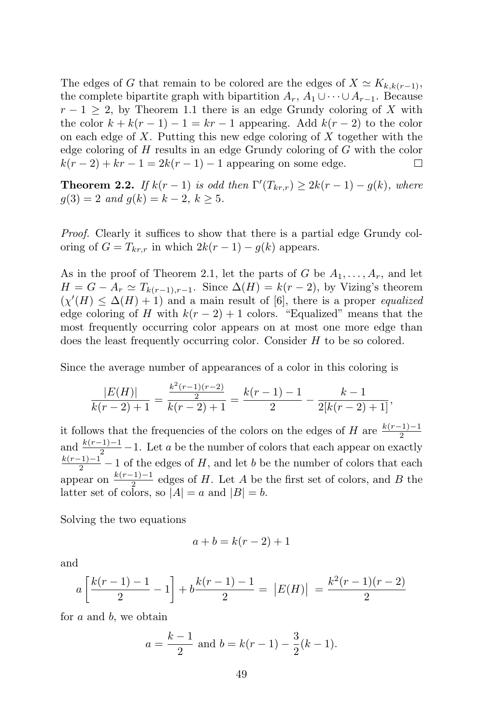The edges of G that remain to be colored are the edges of  $X \simeq K_{k,k(r-1)}$ , the complete bipartite graph with bipartition  $A_r$ ,  $A_1 \cup \cdots \cup A_{r-1}$ . Because  $r-1 \geq 2$ , by Theorem 1.1 there is an edge Grundy coloring of X with the color  $k + k(r - 1) - 1 = kr - 1$  appearing. Add  $k(r - 2)$  to the color on each edge of  $X$ . Putting this new edge coloring of  $X$  together with the edge coloring of H results in an edge Grundy coloring of G with the color  $k(r-2) + kr - 1 = 2k(r-1) - 1$  appearing on some edge. П

**Theorem 2.2.** If  $k(r-1)$  is odd then  $\Gamma'(T_{kr,r}) \geq 2k(r-1) - g(k)$ , where  $g(3) = 2$  and  $g(k) = k - 2, k \ge 5$ .

*Proof.* Clearly it suffices to show that there is a partial edge Grundy coloring of  $G = T_{kr,r}$  in which  $2k(r-1) - g(k)$  appears.

As in the proof of Theorem 2.1, let the parts of G be  $A_1, \ldots, A_r$ , and let  $H = G - A_r \simeq T_{k(r-1),r-1}$ . Since  $\Delta(H) = k(r-2)$ , by Vizing's theorem  $(\chi'(H) \leq \Delta(H) + 1)$  and a main result of [6], there is a proper equalized edge coloring of H with  $k(r-2)+1$  colors. "Equalized" means that the most frequently occurring color appears on at most one more edge than does the least frequently occurring color. Consider H to be so colored.

Since the average number of appearances of a color in this coloring is

$$
\frac{|E(H)|}{k(r-2)+1} = \frac{\frac{k^2(r-1)(r-2)}{2}}{k(r-2)+1} = \frac{k(r-1)-1}{2} - \frac{k-1}{2[k(r-2)+1]},
$$

it follows that the frequencies of the colors on the edges of  $H$  are  $\frac{k(r-1)-1}{2}$ and  $\frac{k(r-1)-1}{2} - 1$ . Let a be the number of colors that each appear on exactly  $\frac{k(r-1)-1}{2} - 1$  of the edges of H, and let b be the number of colors that each appear on  $\frac{k(r-1)-1}{2}$  edges of H. Let A be the first set of colors, and B the latter set of colors, so  $|A| = a$  and  $|B| = b$ .

Solving the two equations

$$
a+b=k(r-2)+1
$$

and

$$
a\left[\frac{k(r-1)-1}{2}-1\right] + b\frac{k(r-1)-1}{2} = |E(H)| = \frac{k^2(r-1)(r-2)}{2}
$$

for a and b, we obtain

$$
a = \frac{k-1}{2}
$$
 and  $b = k(r-1) - \frac{3}{2}(k-1)$ .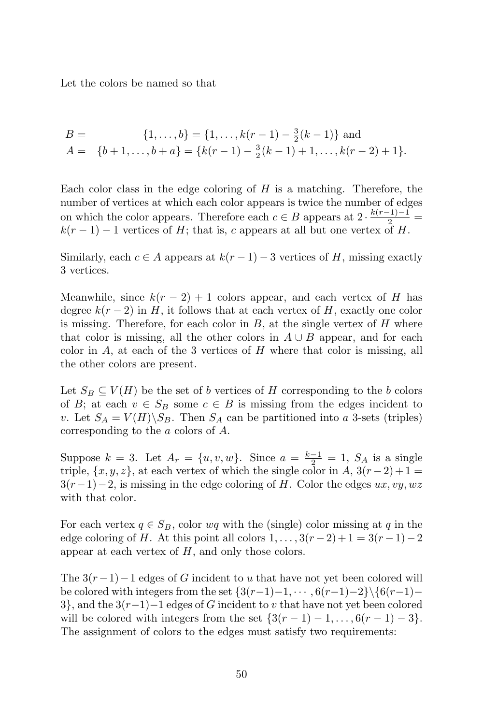Let the colors be named so that

$$
B = \{1, \ldots, b\} = \{1, \ldots, k(r-1) - \frac{3}{2}(k-1)\} \text{ and}
$$
  

$$
A = \{b+1, \ldots, b+a\} = \{k(r-1) - \frac{3}{2}(k-1) + 1, \ldots, k(r-2) + 1\}.
$$

Each color class in the edge coloring of  $H$  is a matching. Therefore, the number of vertices at which each color appears is twice the number of edges on which the color appears. Therefore each  $c \in B$  appears at  $2 \cdot \frac{k(r-1)-1}{2} =$  $k(r-1) - 1$  vertices of H; that is, c appears at all but one vertex of H.

Similarly, each  $c \in A$  appears at  $k(r-1) - 3$  vertices of H, missing exactly 3 vertices.

Meanwhile, since  $k(r-2)+1$  colors appear, and each vertex of H has degree  $k(r-2)$  in H, it follows that at each vertex of H, exactly one color is missing. Therefore, for each color in  $B$ , at the single vertex of  $H$  where that color is missing, all the other colors in  $A \cup B$  appear, and for each color in  $A$ , at each of the 3 vertices of  $H$  where that color is missing, all the other colors are present.

Let  $S_B \subseteq V(H)$  be the set of b vertices of H corresponding to the b colors of B; at each  $v \in S_B$  some  $c \in B$  is missing from the edges incident to v. Let  $S_A = V(H) \backslash S_B$ . Then  $S_A$  can be partitioned into a 3-sets (triples) corresponding to the a colors of A.

Suppose  $k = 3$ . Let  $A_r = \{u, v, w\}$ . Since  $a = \frac{k-1}{2} = 1$ ,  $S_A$  is a single triple,  $\{x, y, z\}$ , at each vertex of which the single color in A,  $3(r-2)+1=$  $3(r-1)-2$ , is missing in the edge coloring of H. Color the edges ux, vy, wz with that color.

For each vertex  $q \in S_B$ , color wq with the (single) color missing at q in the edge coloring of H. At this point all colors  $1, \ldots, 3(r-2)+1=3(r-1)-2$ appear at each vertex of  $H$ , and only those colors.

The  $3(r-1)-1$  edges of G incident to u that have not yet been colored will be colored with integers from the set  $\{3(r-1)-1, \cdots, 6(r-1)-2\}\$ {6(r-1)−  $3$ , and the  $3(r-1)-1$  edges of G incident to v that have not yet been colored will be colored with integers from the set  $\{3(r-1)-1,\ldots,6(r-1)-3\}$ . The assignment of colors to the edges must satisfy two requirements: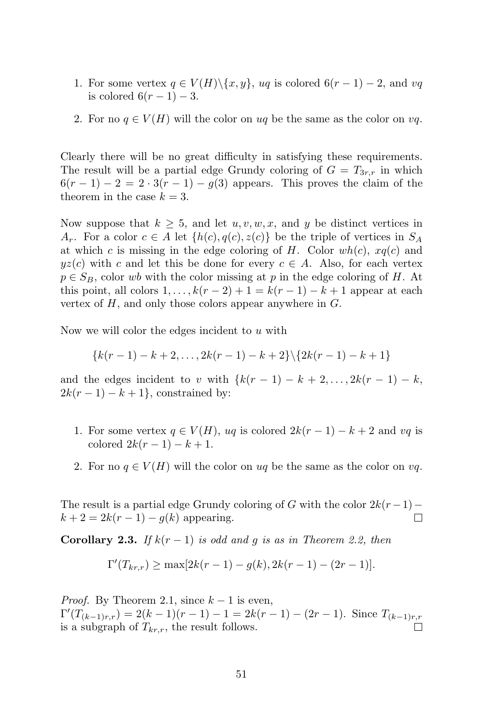- 1. For some vertex  $q \in V(H) \setminus \{x, y\}$ , uq is colored  $6(r-1) 2$ , and vq is colored  $6(r-1)-3$ .
- 2. For no  $q \in V(H)$  will the color on uq be the same as the color on vq.

Clearly there will be no great difficulty in satisfying these requirements. The result will be a partial edge Grundy coloring of  $G = T_{3r,r}$  in which  $6(r-1)-2=2\cdot 3(r-1)-g(3)$  appears. This proves the claim of the theorem in the case  $k = 3$ .

Now suppose that  $k \geq 5$ , and let  $u, v, w, x$ , and y be distinct vertices in  $A_r$ . For a color  $c \in A$  let  $\{h(c), q(c), z(c)\}$  be the triple of vertices in  $S_A$ at which c is missing in the edge coloring of H. Color  $wh(c)$ ,  $xq(c)$  and  $yz(c)$  with c and let this be done for every  $c \in A$ . Also, for each vertex  $p \in S_B$ , color wb with the color missing at p in the edge coloring of H. At this point, all colors  $1, \ldots, k(r-2)+1=k(r-1)-k+1$  appear at each vertex of  $H$ , and only those colors appear anywhere in  $G$ .

Now we will color the edges incident to  $u$  with

$$
{k(r-1)-k+2,...,2k(r-1)-k+2}\setminus {2k(r-1)-k+1}
$$

and the edges incident to v with  $\{k(r-1) - k + 2, \ldots, 2k(r-1) - k,$  $2k(r-1)-k+1\}$ , constrained by:

- 1. For some vertex  $q \in V(H)$ , uq is colored  $2k(r-1) k + 2$  and vq is colored  $2k(r - 1) - k + 1$ .
- 2. For no  $q \in V(H)$  will the color on uq be the same as the color on vq.

The result is a partial edge Grundy coloring of G with the color  $2k(r-1)-k+2=2k(r-1)-a(k)$  appearing  $k + 2 = 2k(r - 1) - g(k)$  appearing.

**Corollary 2.3.** If  $k(r-1)$  is odd and g is as in Theorem 2.2, then

$$
\Gamma'(T_{kr,r}) \ge \max[2k(r-1) - g(k), 2k(r-1) - (2r-1)].
$$

*Proof.* By Theorem 2.1, since  $k-1$  is even,  $\Gamma'(T_{(k-1)r,r}) = 2(k-1)(r-1) - 1 = 2k(r-1) - (2r-1)$ . Since  $T_{(k-1)r,r}$ is a subgraph of  $T_{kr,r}$ , the result follows.